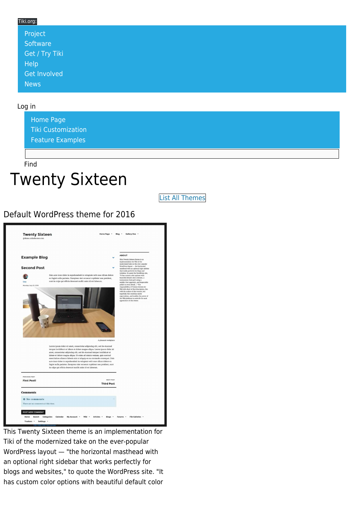#### Tiki.org:

| Project             |  |  |  |
|---------------------|--|--|--|
| Software            |  |  |  |
| Get / Try Tiki      |  |  |  |
| Help                |  |  |  |
| <b>Get Involved</b> |  |  |  |
| <b>News</b>         |  |  |  |

#### Log in

[Home Page](https://themes.tiki.org/Themes) [Tiki Customization](https://themes.tiki.org/Tiki-Customization) [Feature Examples](#page--1-0)

Find

# Twenty Sixteen

[List All Themes](https://themes.tiki.org/marketplace%20themes)

#### Default WordPress theme for 2016



This Twenty Sixteen theme is an implementation for Tiki of the modernized take on the ever-popular WordPress layout — "the horizontal masthead with an optional right sidebar that works perfectly for blogs and websites," to quote the WordPress site. "It has custom color options with beautiful default color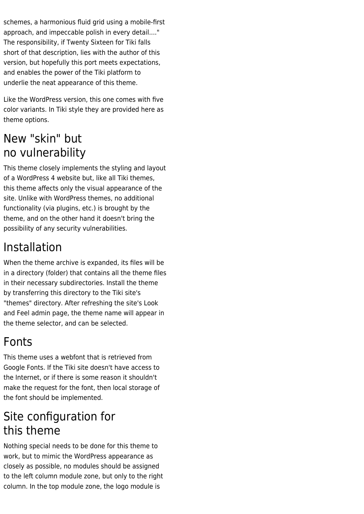schemes, a harmonious fluid grid using a mobile-first approach, and impeccable polish in every detail...." The responsibility, if Twenty Sixteen for Tiki falls short of that description, lies with the author of this version, but hopefully this port meets expectations, and enables the power of the Tiki platform to underlie the neat appearance of this theme.

Like the WordPress version, this one comes with five color variants. In Tiki style they are provided here as theme options.

### New "skin" but no vulnerability

This theme closely implements the styling and layout of a WordPress 4 website but, like all Tiki themes, this theme affects only the visual appearance of the site. Unlike with WordPress themes, no additional functionality (via plugins, etc.) is brought by the theme, and on the other hand it doesn't bring the possibility of any security vulnerabilities.

## Installation

When the theme archive is expanded, its files will be in a directory (folder) that contains all the theme files in their necessary subdirectories. Install the theme by transferring this directory to the Tiki site's "themes" directory. After refreshing the site's Look and Feel admin page, the theme name will appear in the theme selector, and can be selected.

### Fonts

This theme uses a webfont that is retrieved from Google Fonts. If the Tiki site doesn't have access to the Internet, or if there is some reason it shouldn't make the request for the font, then local storage of the font should be implemented.

### Site configuration for this theme

Nothing special needs to be done for this theme to work, but to mimic the WordPress appearance as closely as possible, no modules should be assigned to the left column module zone, but only to the right column. In the top module zone, the logo module is